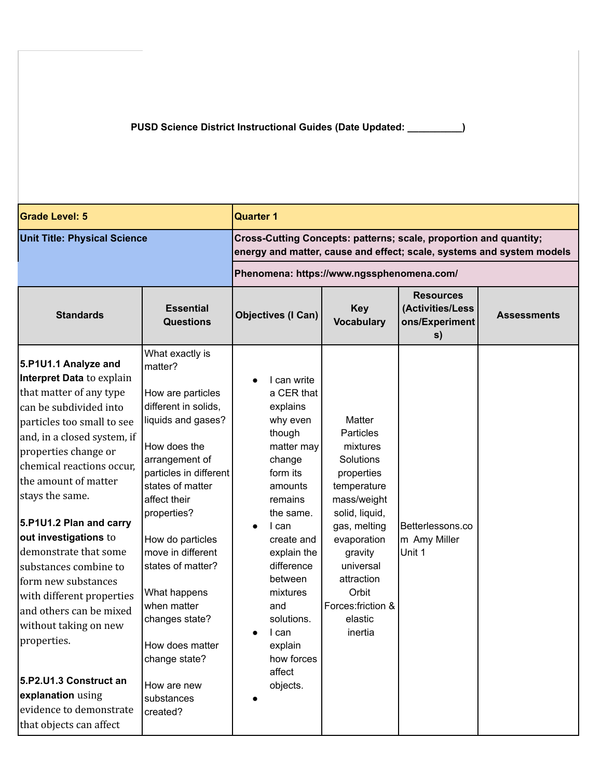**PUSD Science District Instructional Guides (Date Updated: \_\_\_\_\_\_\_\_\_\_)**

| <b>Grade Level: 5</b>                                                                                                                                                                                                                                                                                                                                                                                                                                                                                                                                                                                 |                                                                                                                                                                                                                                                                                                                                                                                                          | <b>Quarter 1</b>                                                                                                                                                                                                                                                                                        |                                                                                                                                                                                                                                      |                                                              |                    |  |
|-------------------------------------------------------------------------------------------------------------------------------------------------------------------------------------------------------------------------------------------------------------------------------------------------------------------------------------------------------------------------------------------------------------------------------------------------------------------------------------------------------------------------------------------------------------------------------------------------------|----------------------------------------------------------------------------------------------------------------------------------------------------------------------------------------------------------------------------------------------------------------------------------------------------------------------------------------------------------------------------------------------------------|---------------------------------------------------------------------------------------------------------------------------------------------------------------------------------------------------------------------------------------------------------------------------------------------------------|--------------------------------------------------------------------------------------------------------------------------------------------------------------------------------------------------------------------------------------|--------------------------------------------------------------|--------------------|--|
| <b>Unit Title: Physical Science</b>                                                                                                                                                                                                                                                                                                                                                                                                                                                                                                                                                                   |                                                                                                                                                                                                                                                                                                                                                                                                          | Cross-Cutting Concepts: patterns; scale, proportion and quantity;<br>energy and matter, cause and effect; scale, systems and system models                                                                                                                                                              |                                                                                                                                                                                                                                      |                                                              |                    |  |
|                                                                                                                                                                                                                                                                                                                                                                                                                                                                                                                                                                                                       |                                                                                                                                                                                                                                                                                                                                                                                                          | Phenomena: https://www.ngssphenomena.com/                                                                                                                                                                                                                                                               |                                                                                                                                                                                                                                      |                                                              |                    |  |
| <b>Standards</b>                                                                                                                                                                                                                                                                                                                                                                                                                                                                                                                                                                                      | <b>Essential</b><br><b>Questions</b>                                                                                                                                                                                                                                                                                                                                                                     | <b>Objectives (I Can)</b>                                                                                                                                                                                                                                                                               | <b>Key</b><br><b>Vocabulary</b>                                                                                                                                                                                                      | <b>Resources</b><br>(Activities/Less<br>ons/Experiment<br>s) | <b>Assessments</b> |  |
| 5.P1U1.1 Analyze and<br>Interpret Data to explain<br>that matter of any type<br>can be subdivided into<br>particles too small to see<br>and, in a closed system, if<br>properties change or<br>chemical reactions occur,<br>the amount of matter<br>stays the same.<br>5.P1U1.2 Plan and carry<br>out investigations to<br>demonstrate that some<br>substances combine to<br>form new substances<br>with different properties<br>and others can be mixed<br>without taking on new<br>properties.<br>5.P2.U1.3 Construct an<br>explanation using<br>evidence to demonstrate<br>that objects can affect | What exactly is<br>matter?<br>How are particles<br>different in solids,<br>liquids and gases?<br>How does the<br>arrangement of<br>particles in different<br>states of matter<br>affect their<br>properties?<br>How do particles<br>move in different<br>states of matter?<br>What happens<br>when matter<br>changes state?<br>How does matter<br>change state?<br>How are new<br>substances<br>created? | I can write<br>a CER that<br>explains<br>why even<br>though<br>matter may<br>change<br>form its<br>amounts<br>remains<br>the same.<br>I can<br>$\bullet$<br>create and<br>explain the<br>difference<br>between<br>mixtures<br>and<br>solutions.<br>I can<br>explain<br>how forces<br>affect<br>objects. | Matter<br>Particles<br>mixtures<br>Solutions<br>properties<br>temperature<br>mass/weight<br>solid, liquid,<br>gas, melting<br>evaporation<br>gravity<br>universal<br>attraction<br>Orbit<br>Forces: friction &<br>elastic<br>inertia | Betterlessons.co<br>m Amy Miller<br>Unit 1                   |                    |  |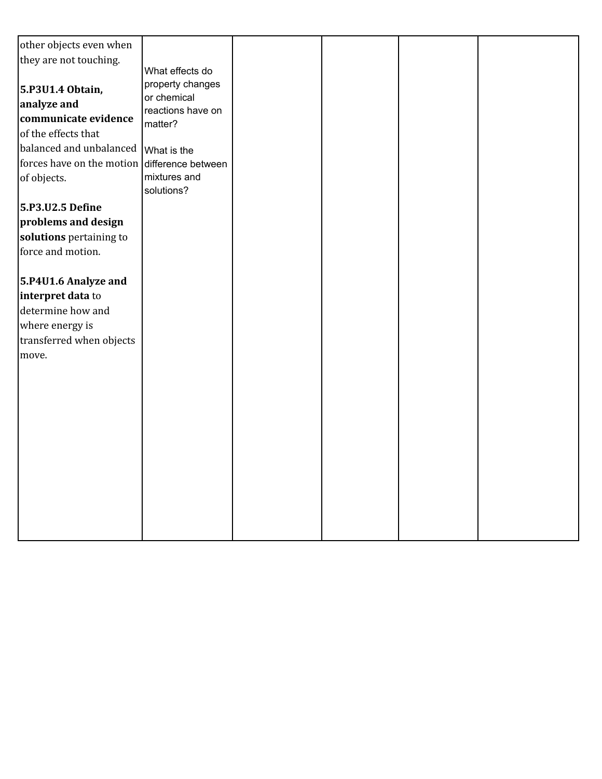| other objects even when                      |                                  |  |  |
|----------------------------------------------|----------------------------------|--|--|
| they are not touching.                       |                                  |  |  |
|                                              | What effects do                  |  |  |
| 5.P3U1.4 Obtain,                             | property changes                 |  |  |
| analyze and                                  | or chemical<br>reactions have on |  |  |
| communicate evidence                         | matter?                          |  |  |
| of the effects that                          |                                  |  |  |
| balanced and unbalanced   What is the        |                                  |  |  |
| forces have on the motion difference between |                                  |  |  |
| of objects.                                  | mixtures and                     |  |  |
|                                              | solutions?                       |  |  |
| 5.P3.U2.5 Define                             |                                  |  |  |
| problems and design                          |                                  |  |  |
| solutions pertaining to                      |                                  |  |  |
| force and motion.                            |                                  |  |  |
|                                              |                                  |  |  |
| 5.P4U1.6 Analyze and                         |                                  |  |  |
| interpret data to                            |                                  |  |  |
| determine how and                            |                                  |  |  |
| where energy is                              |                                  |  |  |
| transferred when objects                     |                                  |  |  |
| move.                                        |                                  |  |  |
|                                              |                                  |  |  |
|                                              |                                  |  |  |
|                                              |                                  |  |  |
|                                              |                                  |  |  |
|                                              |                                  |  |  |
|                                              |                                  |  |  |
|                                              |                                  |  |  |
|                                              |                                  |  |  |
|                                              |                                  |  |  |
|                                              |                                  |  |  |
|                                              |                                  |  |  |
|                                              |                                  |  |  |
|                                              |                                  |  |  |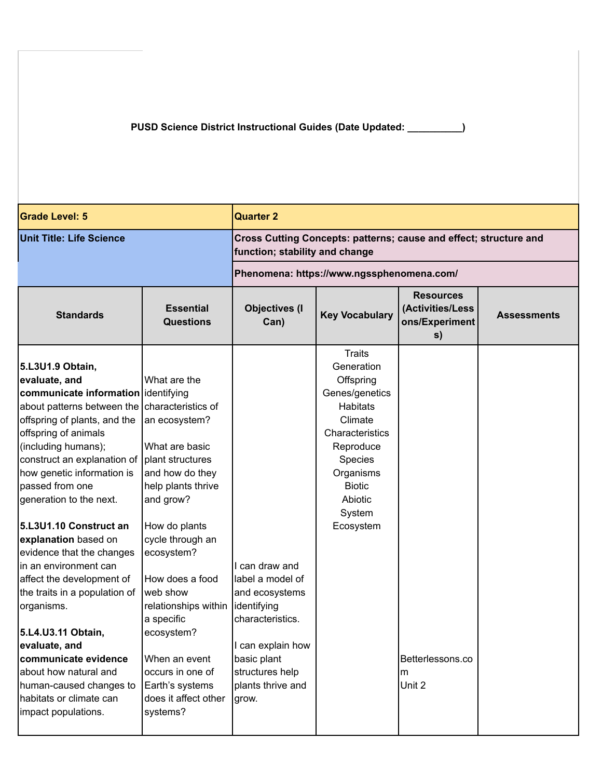**PUSD Science District Instructional Guides (Date Updated: \_\_\_\_\_\_\_\_\_\_)**

| <b>Grade Level: 5</b>                                                                                                                                                                                                                                                                                                                                                                                                                                                                                                                                                                                                                                    |                                                                                                                                                                                                                                                                                                                                                                                   | <b>Quarter 2</b>                                                                                                                                                             |                                                                                                                                                                                                     |                                                              |                    |  |
|----------------------------------------------------------------------------------------------------------------------------------------------------------------------------------------------------------------------------------------------------------------------------------------------------------------------------------------------------------------------------------------------------------------------------------------------------------------------------------------------------------------------------------------------------------------------------------------------------------------------------------------------------------|-----------------------------------------------------------------------------------------------------------------------------------------------------------------------------------------------------------------------------------------------------------------------------------------------------------------------------------------------------------------------------------|------------------------------------------------------------------------------------------------------------------------------------------------------------------------------|-----------------------------------------------------------------------------------------------------------------------------------------------------------------------------------------------------|--------------------------------------------------------------|--------------------|--|
| <b>Unit Title: Life Science</b>                                                                                                                                                                                                                                                                                                                                                                                                                                                                                                                                                                                                                          |                                                                                                                                                                                                                                                                                                                                                                                   | Cross Cutting Concepts: patterns; cause and effect; structure and<br>function; stability and change                                                                          |                                                                                                                                                                                                     |                                                              |                    |  |
|                                                                                                                                                                                                                                                                                                                                                                                                                                                                                                                                                                                                                                                          |                                                                                                                                                                                                                                                                                                                                                                                   | Phenomena: https://www.ngssphenomena.com/                                                                                                                                    |                                                                                                                                                                                                     |                                                              |                    |  |
| <b>Standards</b>                                                                                                                                                                                                                                                                                                                                                                                                                                                                                                                                                                                                                                         | <b>Essential</b><br><b>Questions</b>                                                                                                                                                                                                                                                                                                                                              | <b>Objectives (I</b><br>Can)                                                                                                                                                 | <b>Key Vocabulary</b>                                                                                                                                                                               | <b>Resources</b><br>(Activities/Less<br>ons/Experiment<br>s) | <b>Assessments</b> |  |
| 5.L3U1.9 Obtain,<br>evaluate, and<br>communicate information dentifying<br>about patterns between the<br>offspring of plants, and the<br>offspring of animals<br>(including humans);<br>construct an explanation of<br>how genetic information is<br>passed from one<br>generation to the next.<br>5.L3U1.10 Construct an<br>explanation based on<br>evidence that the changes<br>in an environment can<br>affect the development of<br>the traits in a population of<br>organisms.<br>5.L4.U3.11 Obtain,<br>evaluate, and<br>communicate evidence<br>about how natural and<br>human-caused changes to<br>habitats or climate can<br>impact populations. | What are the<br>characteristics of<br>an ecosystem?<br>What are basic<br>plant structures<br>and how do they<br>help plants thrive<br>and grow?<br>How do plants<br>cycle through an<br>ecosystem?<br>How does a food<br>web show<br>relationships within<br>a specific<br>ecosystem?<br>When an event<br>occurs in one of<br>Earth's systems<br>does it affect other<br>systems? | I can draw and<br>label a model of<br>and ecosystems<br>identifying<br>characteristics.<br>I can explain how<br>basic plant<br>structures help<br>plants thrive and<br>grow. | <b>Traits</b><br>Generation<br>Offspring<br>Genes/genetics<br><b>Habitats</b><br>Climate<br>Characteristics<br>Reproduce<br>Species<br>Organisms<br><b>Biotic</b><br>Abiotic<br>System<br>Ecosystem | Betterlessons.co<br>m<br>Unit 2                              |                    |  |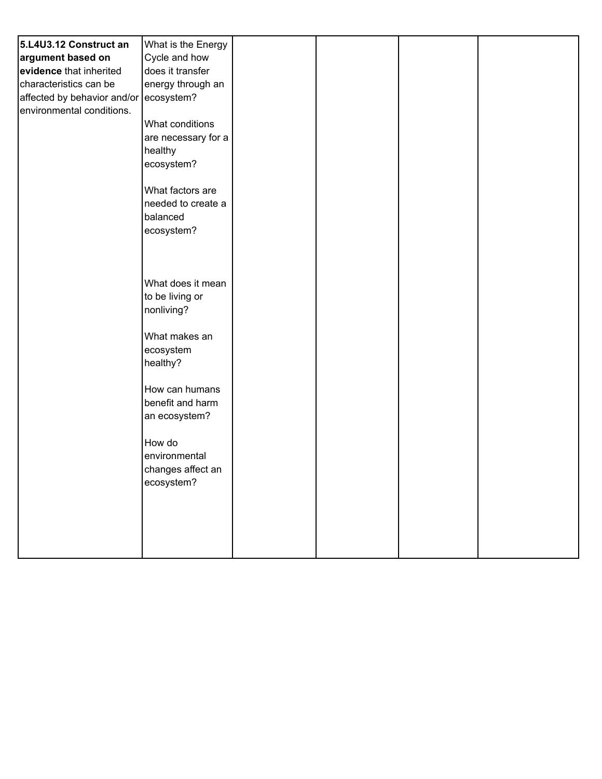| 5.L4U3.12 Construct an      | What is the Energy  |  |  |
|-----------------------------|---------------------|--|--|
| argument based on           | Cycle and how       |  |  |
| evidence that inherited     | does it transfer    |  |  |
| characteristics can be      | energy through an   |  |  |
| affected by behavior and/or | ecosystem?          |  |  |
| environmental conditions.   |                     |  |  |
|                             | What conditions     |  |  |
|                             | are necessary for a |  |  |
|                             | healthy             |  |  |
|                             | ecosystem?          |  |  |
|                             |                     |  |  |
|                             | What factors are    |  |  |
|                             | needed to create a  |  |  |
|                             | balanced            |  |  |
|                             | ecosystem?          |  |  |
|                             |                     |  |  |
|                             |                     |  |  |
|                             |                     |  |  |
|                             | What does it mean   |  |  |
|                             | to be living or     |  |  |
|                             | nonliving?          |  |  |
|                             |                     |  |  |
|                             | What makes an       |  |  |
|                             | ecosystem           |  |  |
|                             | healthy?            |  |  |
|                             |                     |  |  |
|                             | How can humans      |  |  |
|                             | benefit and harm    |  |  |
|                             | an ecosystem?       |  |  |
|                             | How do              |  |  |
|                             | environmental       |  |  |
|                             | changes affect an   |  |  |
|                             | ecosystem?          |  |  |
|                             |                     |  |  |
|                             |                     |  |  |
|                             |                     |  |  |
|                             |                     |  |  |
|                             |                     |  |  |